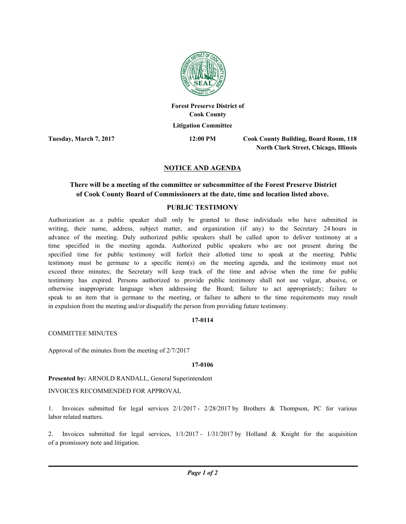

**Forest Preserve District of Cook County Litigation Committee**

**Tuesday, March 7, 2017 12:00 PM**

**Cook County Building, Board Room, 118 North Clark Street, Chicago, Illinois**

# **NOTICE AND AGENDA**

# **There will be a meeting of the committee or subcommittee of the Forest Preserve District of Cook County Board of Commissioners at the date, time and location listed above.**

## **PUBLIC TESTIMONY**

Authorization as a public speaker shall only be granted to those individuals who have submitted in writing, their name, address, subject matter, and organization (if any) to the Secretary 24 hours in advance of the meeting. Duly authorized public speakers shall be called upon to deliver testimony at a time specified in the meeting agenda. Authorized public speakers who are not present during the specified time for public testimony will forfeit their allotted time to speak at the meeting. Public testimony must be germane to a specific item(s) on the meeting agenda, and the testimony must not exceed three minutes; the Secretary will keep track of the time and advise when the time for public testimony has expired. Persons authorized to provide public testimony shall not use vulgar, abusive, or otherwise inappropriate language when addressing the Board; failure to act appropriately; failure to speak to an item that is germane to the meeting, or failure to adhere to the time requirements may result in expulsion from the meeting and/or disqualify the person from providing future testimony.

### **17-0114**

COMMITTEE MINUTES

Approval of the minutes from the meeting of 2/7/2017

#### **17-0106**

**Presented by:** ARNOLD RANDALL, General Superintendent

### INVOICES RECOMMENDED FOR APPROVAL

1. Invoices submitted for legal services 2/1/2017 - 2/28/2017 by Brothers & Thompson, PC for various labor related matters.

2. Invoices submitted for legal services, 1/1/2017 - 1/31/2017 by Holland & Knight for the acquisition of a promissory note and litigation.